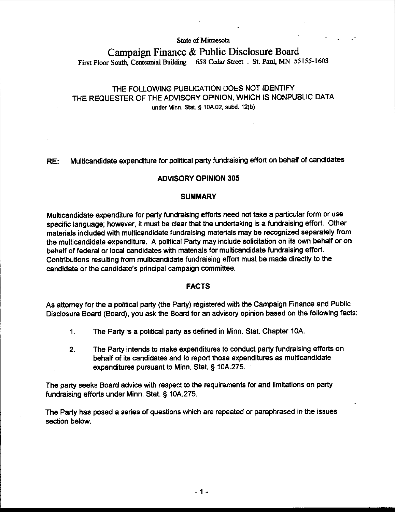#### **State of Minnesota**

# **Campaign Finance** & **Public Disclosure Board**  First Floor South, Centennial Building . 658 Cedar Street . St. Paul, MN 55155-1603

# THE FOLLOWING PUBLICATION DOES NOT IDENTIFY THE REQUESTER OF THE ADVISORY OPINION, WHICH IS NONPUBLIC DATA under Minn. Stat. **5 lOA02, subd. 12(b)**

# RE: Multicandidate expenditure for political party fundraising effort on behalf of candidates

# ADVISORY OPINION 305

## **SUMMARY**

Multicandidate expenditure for party fundraising efforts need not take a particular form or use specific language; however, it must be clear that the undertaking is a fundraising effort. Other materials included with multicandidate fundraising materials may be recognized separately from the multicandidate expenditure. A political Party may include solicitation on its own behalf or on behalf of federal or local candidates with materials for multicandidate fundraising effort. Contributions resulting from multicandidate fundraising effort must be made directly to the candidate or the candidate's principal campaign committee.

## FACTS

As attorney for the a political party (the Party) registered with the Campaign Finance and Public Disclosure Board (Board), you ask the Board for an advisory opinion based on the following facts:

- 1. The Party is a political party as defined in Minn. Stat. Chapter 10A.
- 2. The Party intends to make expenditures to conduct party fundraising efforts on behalf of its candidates and to report those expenditures as multicandidate expenditures pursuant to Minn. Stat. § 10A.275.

The party seeks Board advice with respect to the requirements for and limitations on party fundraising efforts under Minn. Stat **5** lOA.275.

The Party has posed a series of questions which are repeated or paraphrased in the issues section below.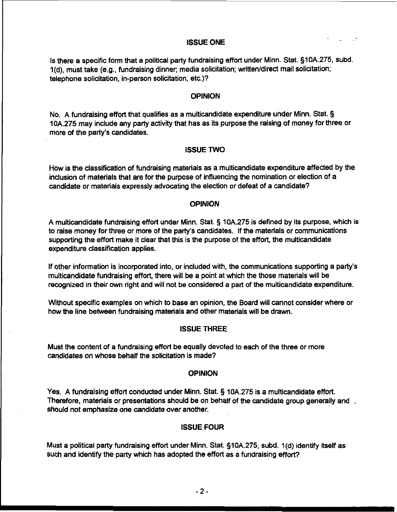## ISSUE ONE

Is there a specific form that a political party fundraising effort under Minn. Stat. **510A.275,** subd. 1(d), must take (e.g., fundraising dinner; media solicitation; written/direct mail solicitation; telephone solicitation, in-person solicitation, etc.)?

#### **OPINION**

No. **A** fundraising effort that qualifies as a rnulticandidate expenditure under Minn. Stat. **5 10A.275** may include any party activity that has as its purpose the raising of money for three or more of the party's candidates.

## ISSUE TWO

How is the classification of fundraising materials as a multicandidate expenditure affected by the inclusion of materials that are for the purpose of influencing the nomination or election of a candidate or materials expressly advocating the election or defeat of a candidate?

#### OPINION

**A** multicandidate fundraising effort under Minn. Stat. **5 10A.275** is defined by its purpose, which is to raise money for three or more of the party's candidates. If the materials or communications supporting the effort make it clear that this is the purpose of the effort, the multicandidate expenditure classification applies.

If other information is incorporated into, or included with, the communications supporting a party's multicandidate fundraising effort, there will be a point at which the those materials will be recognized in their own right and will not be considered a part of the multicandidate expenditure.

Without specific examples on which to base an opinion, the Board will cannot consider where or how the line between fundraising materials and other materials will be drawn.

#### ISSUE THREE

Must the content of a fundraising effort be equally devoted to each of the three or more candidates on whose behalf the solicitation is made?

## **OPINION**

Yes. **A** fundraising effort conducted under Minn. Stat. **5 10A.275** is a multicandidate effort Therefore, materials or presentations should be on behalf of the candidate group generally and. should not emphasize one candidate over another.

#### ISSUE FOUR

Must a political party fundraising effort under Minn. Stat. **51OA.275,** subd. 1 (d) identify itself as such and identify the party which has adopted the effort as a fundraising effott?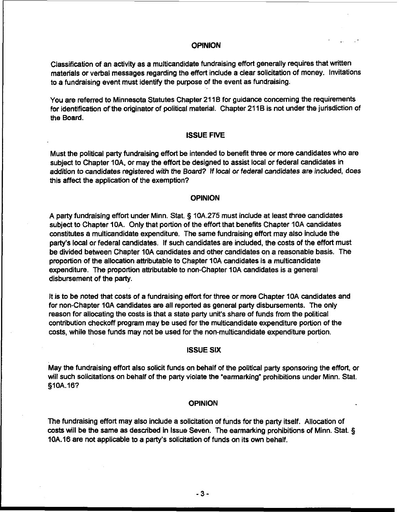# **OPINION**

Classification of an activity as a multicandidate fundraising effort generally requires that written materials or verbal messages regarding the effort include a clear solicitation of money. Invitations to a fundraising event must identify the purpose of the event as fundraising.

You are referred to Minnesota Statutes Chapter 211B for guidance concerning the requirements for identification of the originator of political material. Chapter 211B is not under the jurisdiction of the Board.

#### ISSUE FIVE

Must the political party fundraising effort be intended to benefit three or more candidates who are subject to Chapter 10A, or may the effort be designed to assist local or federal candidates in addition to candidates registered with the Board? If local or federal candidates are included, does this affect the application of the exemption?

#### OPINION

A party fundraising effort under Minn. Stat. § 10A.275 must include at least three candidates subject to Chapter 10A. Only that portion of the effort that benefits Chapter 10A candidates constitutes a multicandidate expenditure. The same fundraising effort may also include the party's local or federal candidates. If such candidates are included, the costs of the effort must be divided between Chapter 10A candidates and other candidates on a reasonable basis. The proportion of the allocation attributable to Chapter 10A candidates is a multicandidate expenditure. The proportion attributable to non-Chapter 10A candidates is a general disbursement of the party.

It is to be noted that costs of a fundraising effort for three or more Chapter 10A candidates and for non-Chapter 10A candidates are all reported as general party disbursements. The only reason for allocating the costs is that a state party unit's share of funds from the political contribution checkoff program may be used for the multicandidate expenditure portion of the costs, while those funds may not be used for the non-multicandidate expenditure portion.

#### ISSUE SIX

May the fundraising effort also solicit funds on behalf of the political party sponsoring the effort, or will such solicitations on behalf of the party violate the "earmarking" prohibitions under Minn. Stat. §10A.16?

#### **OPINION**

The fundraising effort may also include a solicitation of funds for the party itself. Allocation of costs will be the same as described in Issue Seven. The earmarking prohibitions of Minn. Stat. **3**  10A.16 are not applicable to a party's solidtation of funds on its own behalf.

 $-3-$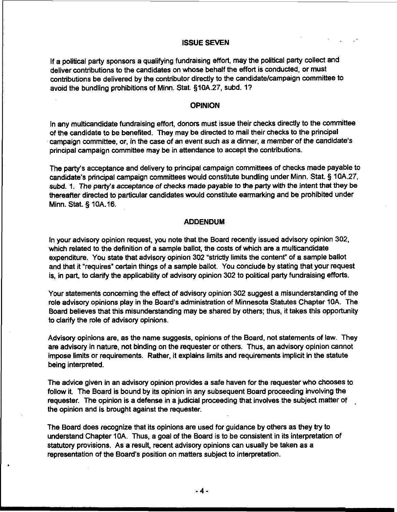# . . ISSUE SEVEN

If a political party sponsors a qualifying fundraising effort, may the political party collect and deliver contributions to the candidates on whose behalf the effort is conducted, or must contributions be delivered by the contributor directly to the candidatelcampaign committee to avoid the bundling prohibitions of Minn. Stat. §10A.27, subd. 1?

#### OPINION

In any multicandidate fundraising effort, donors must issue their checks directly to the committee of the candidate to be benefited. They may be directed to mail their checks to the principal campaign committee, or, in the case of an event such as a dinner, a member of the candidate's principal campaign committee may be in attendance to accept the contributions.

The party's acceptance and delivery to principal campaign committees of checks made payable to candidate's principal campaign committees would constitute bundling under Minn. Stat. **5** 10A.27, subd. 1. The party's acceptance of checks made payable to the party with the intent that they be thereafter directed to particular candidates would constitute earmarking and be prohibited under Minn. Stat. 5 10A.16.

#### ADDENDUM

In your advisory opinion request, you note that the Board recently issued advisory opinion 302, which related to the definition of a sample ballot, the costs of which are a multicandidate expenditure. You state that advisory opinion 302 "strictly limits the content" of a sample ballot and that it "requires" certain things of a sample ballot. You conclude by stating that your request is, in part, to clarify the applicability of advisory opinion 302 to political party fundraising efforts.

Your statements concerning the effect of advisory opinion 302 suggest a misunderstanding of the role advisory opinions play in the Board's administration of Minnesota Statutes Chapter 1OA. The Board believes that this misunderstanding may be shared by others; thus, it takes this opportunity to clarify the role of advisory opinions.

Advisory opinions are, as the name suggests, opinions of the Board, not statements of law. They are advisory in nature, not binding on the requester or others. Thus, an advisory opinion cannot impose limits or requirements. Rather, it explains limits and requirements implicit in the statute being interpreted.

The advice given in an advisory opinion provides a safe haven for the requester who chooses to follow it. The Board is bound by its opinion in any subsequent Board proceeding involving the requester. The opinion is a defense in a judicial proceeding that involves the subject matter of .<br>the opinion and is brought against the requester.

The Board does recognize that its opinions are used for guidance by others as they **try** to understand Chapter 10A. Thus, a goal of the Board is to be consistent in its interpretation of statutory provisions. As a result, recent advisory opinions can usually be taken as a representation of the Board's position on matters subject to interpretation.